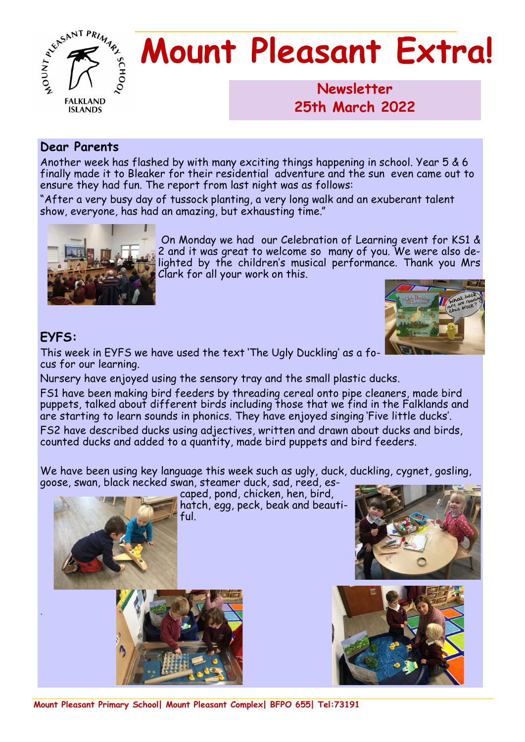

# **Mount Pleasant Extra!**

**Newsletter 1986 25th March 2022**

#### **Dear Parents**

Another week has flashed by with many exciting things happening in school. Year 5 & 6 finally made it to Bleaker for their residential adventure and the sun even came out to ensure they had fun. The report from last night was as follows:

"After a very busy day of tussock planting, a very long walk and an exuberant talent show, everyone, has had an amazing, but exhausting time."



On Monday we had our Celebration of Learning event for KS1 & 2 and it was great to welcome so many of you. We were also delighted by the children's musical performance. Thank you Mrs Clark for all your work on this.

#### **EYFS:**

.

This week in EYFS we have used the text 'The Ugly Duckling' as a focus for our learning.

Nursery have enjoyed using the sensory tray and the small plastic ducks.

FS1 have been making bird feeders by threading cereal onto pipe cleaners, made bird puppets, talked about different birds including those that we find in the Falklands and are starting to learn sounds in phonics. They have enjoyed singing 'Five little ducks'.

FS2 have described ducks using adjectives, written and drawn about ducks and birds, counted ducks and added to a quantity, made bird puppets and bird feeders.

We have been using key language this week such as ugly, duck, duckling, cygnet, gosling, goose, swan, black necked swan, steamer duck, sad, reed, es-

caped, pond, chicken, hen, bird, hatch, egg, peck, beak and beautiful.





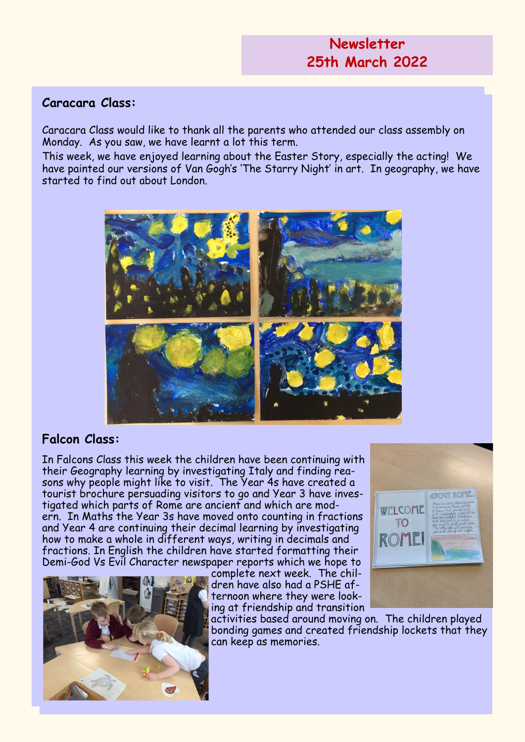#### **Caracara Class:**

Caracara Class would like to thank all the parents who attended our class assembly on Monday. As you saw, we have learnt a lot this term.

This week, we have enjoyed learning about the Easter Story, especially the acting! We have painted our versions of Van Gogh's 'The Starry Night' in art. In geography, we have started to find out about London.



#### **Falcon Class:**

In Falcons Class this week the children have been continuing with their Geography learning by investigating Italy and finding reasons why people might like to visit. The Year 4s have created a tourist brochure persuading visitors to go and Year 3 have investigated which parts of Rome are ancient and which are modern. In Maths the Year 3s have moved onto counting in fractions and Year 4 are continuing their decimal learning by investigating how to make a whole in different ways, writing in decimals and fractions. In English the children have started formatting their Demi-God Vs Evil Character newspaper reports which we hope to



complete next week. The children have also had a PSHE afternoon where they were looking at friendship and transition

activities based around moving on. The children played bonding games and created friendship lockets that they can keep as memories.

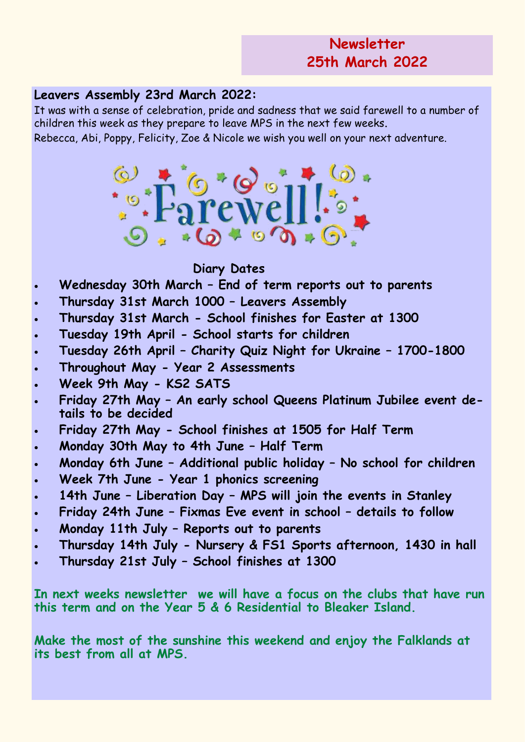#### **Leavers Assembly 23rd March 2022:**

It was with a sense of celebration, pride and sadness that we said farewell to a number of children this week as they prepare to leave MPS in the next few weeks.

Rebecca, Abi, Poppy, Felicity, Zoe & Nicole we wish you well on your next adventure.



#### **Diary Dates**

- **Wednesday 30th March – End of term reports out to parents**
- **Thursday 31st March 1000 – Leavers Assembly**
- **Thursday 31st March - School finishes for Easter at 1300**
- **Tuesday 19th April - School starts for children**
- **Tuesday 26th April – Charity Quiz Night for Ukraine – 1700-1800**
- **Throughout May - Year 2 Assessments**
- **Week 9th May - KS2 SATS**
- **Friday 27th May – An early school Queens Platinum Jubilee event details to be decided**
- **Friday 27th May - School finishes at 1505 for Half Term**
- **Monday 30th May to 4th June – Half Term**
- **Monday 6th June – Additional public holiday – No school for children**
- **Week 7th June - Year 1 phonics screening**
- **14th June – Liberation Day – MPS will join the events in Stanley**
- **Friday 24th June – Fixmas Eve event in school – details to follow**
- **Monday 11th July – Reports out to parents**
- **Thursday 14th July - Nursery & FS1 Sports afternoon, 1430 in hall**
- **Thursday 21st July – School finishes at 1300**

**In next weeks newsletter we will have a focus on the clubs that have run this term and on the Year 5 & 6 Residential to Bleaker Island.**

**Make the most of the sunshine this weekend and enjoy the Falklands at its best from all at MPS.**